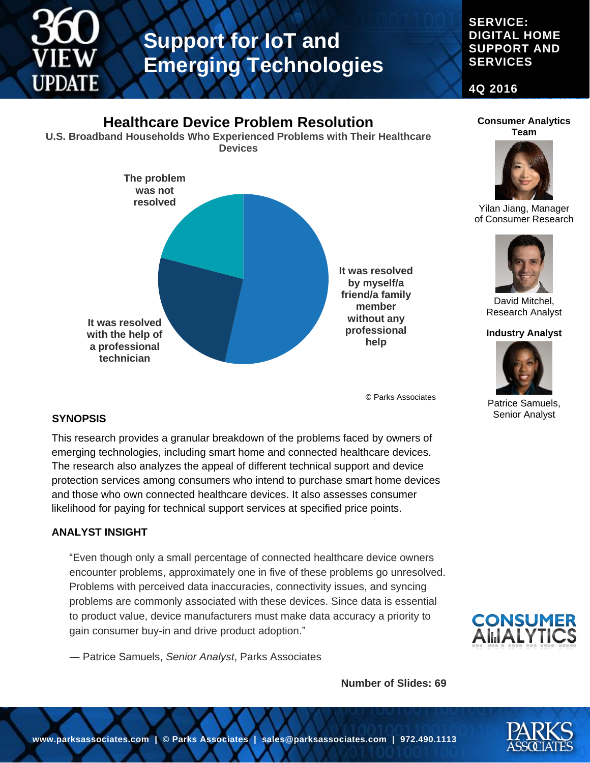

### **SERVICE: DIGITAL HOME SUPPORT AND SERVICES**

**4Q 2016**

#### **It was resolved by myself/a friend/a family member without any professional help It was resolved with the help of a professional technician The problem was not resolved Healthcare Device Problem Resolution U.S. Broadband Households Who Experienced Problems with Their Healthcare Devices Team** David Mitchel, Research Analyst **Industry Analyst**

© Parks Associates

### **SYNOPSIS**

This research provides a granular breakdown of the problems faced by owners of emerging technologies, including smart home and connected healthcare devices. The research also analyzes the appeal of different technical support and device protection services among consumers who intend to purchase smart home devices and those who own connected healthcare devices. It also assesses consumer likelihood for paying for technical support services at specified price points.

#### **ANALYST INSIGHT**

"Even though only a small percentage of connected healthcare device owners encounter problems, approximately one in five of these problems go unresolved. Problems with perceived data inaccuracies, connectivity issues, and syncing problems are commonly associated with these devices. Since data is essential to product value, device manufacturers must make data accuracy a priority to gain consumer buy-in and drive product adoption."

― Patrice Samuels, *Senior Analyst*, Parks Associates

**Number of Slides: 69**



Yilan Jiang, Manager of Consumer Research



Patrice Samuels, Senior Analyst



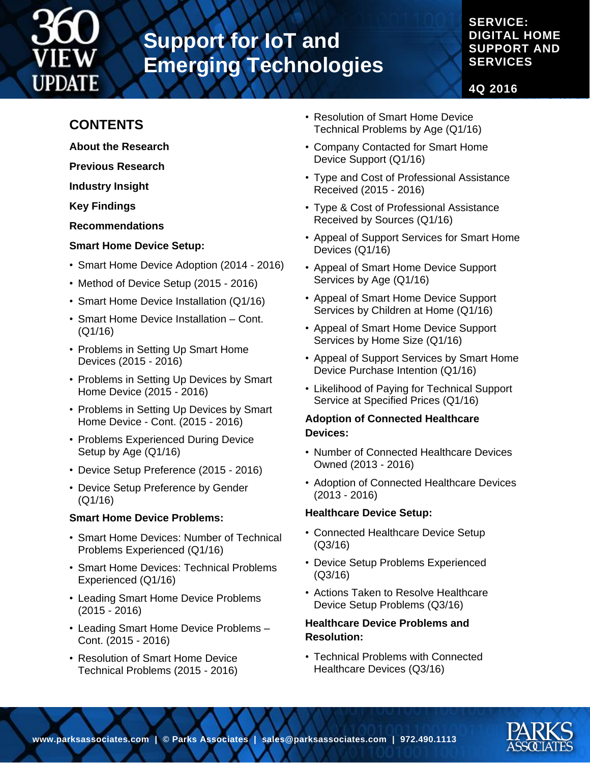

### **SERVICE: DIGITAL HOME SUPPORT AND SERVICES**

**4Q 2016**

## **CONTENTS**

- **About the Research**
- **Previous Research**
- **Industry Insight**

**Key Findings**

**Recommendations**

### **Smart Home Device Setup:**

- Smart Home Device Adoption (2014 2016)
- Method of Device Setup (2015 2016)
- Smart Home Device Installation (Q1/16)
- Smart Home Device Installation Cont. (Q1/16)
- Problems in Setting Up Smart Home Devices (2015 - 2016)
- Problems in Setting Up Devices by Smart Home Device (2015 - 2016)
- Problems in Setting Up Devices by Smart Home Device - Cont. (2015 - 2016)
- Problems Experienced During Device Setup by Age (Q1/16)
- Device Setup Preference (2015 2016)
- Device Setup Preference by Gender (Q1/16)

### **Smart Home Device Problems:**

- Smart Home Devices: Number of Technical Problems Experienced (Q1/16)
- Smart Home Devices: Technical Problems Experienced (Q1/16)
- Leading Smart Home Device Problems (2015 - 2016)
- Leading Smart Home Device Problems Cont. (2015 - 2016)
- Resolution of Smart Home Device Technical Problems (2015 - 2016)
- Resolution of Smart Home Device Technical Problems by Age (Q1/16)
- Company Contacted for Smart Home Device Support (Q1/16)
- Type and Cost of Professional Assistance Received (2015 - 2016)
- Type & Cost of Professional Assistance Received by Sources (Q1/16)
- Appeal of Support Services for Smart Home Devices (Q1/16)
- Appeal of Smart Home Device Support Services by Age (Q1/16)
- Appeal of Smart Home Device Support Services by Children at Home (Q1/16)
- Appeal of Smart Home Device Support Services by Home Size (Q1/16)
- Appeal of Support Services by Smart Home Device Purchase Intention (Q1/16)
- Likelihood of Paying for Technical Support Service at Specified Prices (Q1/16)

### **Adoption of Connected Healthcare Devices:**

- Number of Connected Healthcare Devices Owned (2013 - 2016)
- Adoption of Connected Healthcare Devices (2013 - 2016)

### **Healthcare Device Setup:**

- Connected Healthcare Device Setup (Q3/16)
- Device Setup Problems Experienced (Q3/16)
- Actions Taken to Resolve Healthcare Device Setup Problems (Q3/16)

### **Healthcare Device Problems and Resolution:**

• Technical Problems with Connected Healthcare Devices (Q3/16)

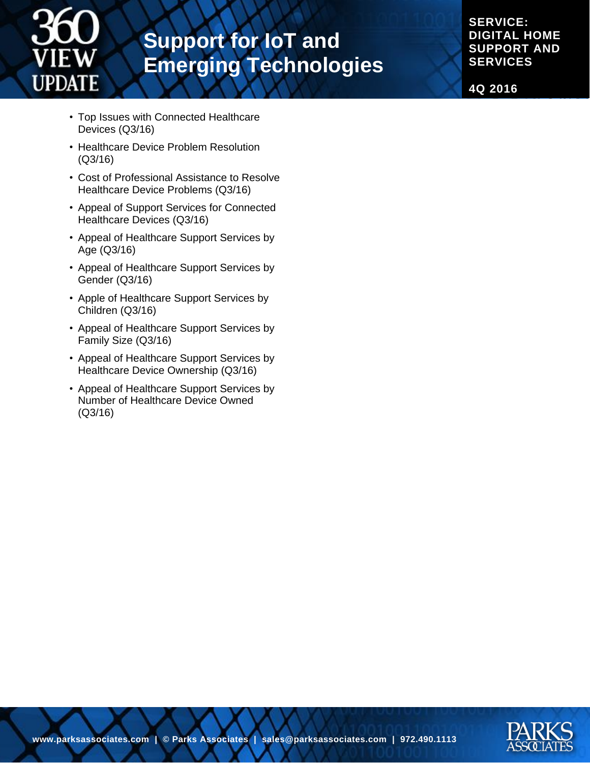

**SERVICE: DIGITAL HOME SUPPORT AND SERVICES**

**4Q 2016**

- Top Issues with Connected Healthcare Devices (Q3/16)
- Healthcare Device Problem Resolution (Q3/16)
- Cost of Professional Assistance to Resolve Healthcare Device Problems (Q3/16)
- Appeal of Support Services for Connected Healthcare Devices (Q3/16)
- Appeal of Healthcare Support Services by Age (Q3/16)
- Appeal of Healthcare Support Services by Gender (Q3/16)
- Apple of Healthcare Support Services by Children (Q3/16)
- Appeal of Healthcare Support Services by Family Size (Q3/16)
- Appeal of Healthcare Support Services by Healthcare Device Ownership (Q3/16)
- Appeal of Healthcare Support Services by Number of Healthcare Device Owned (Q3/16)